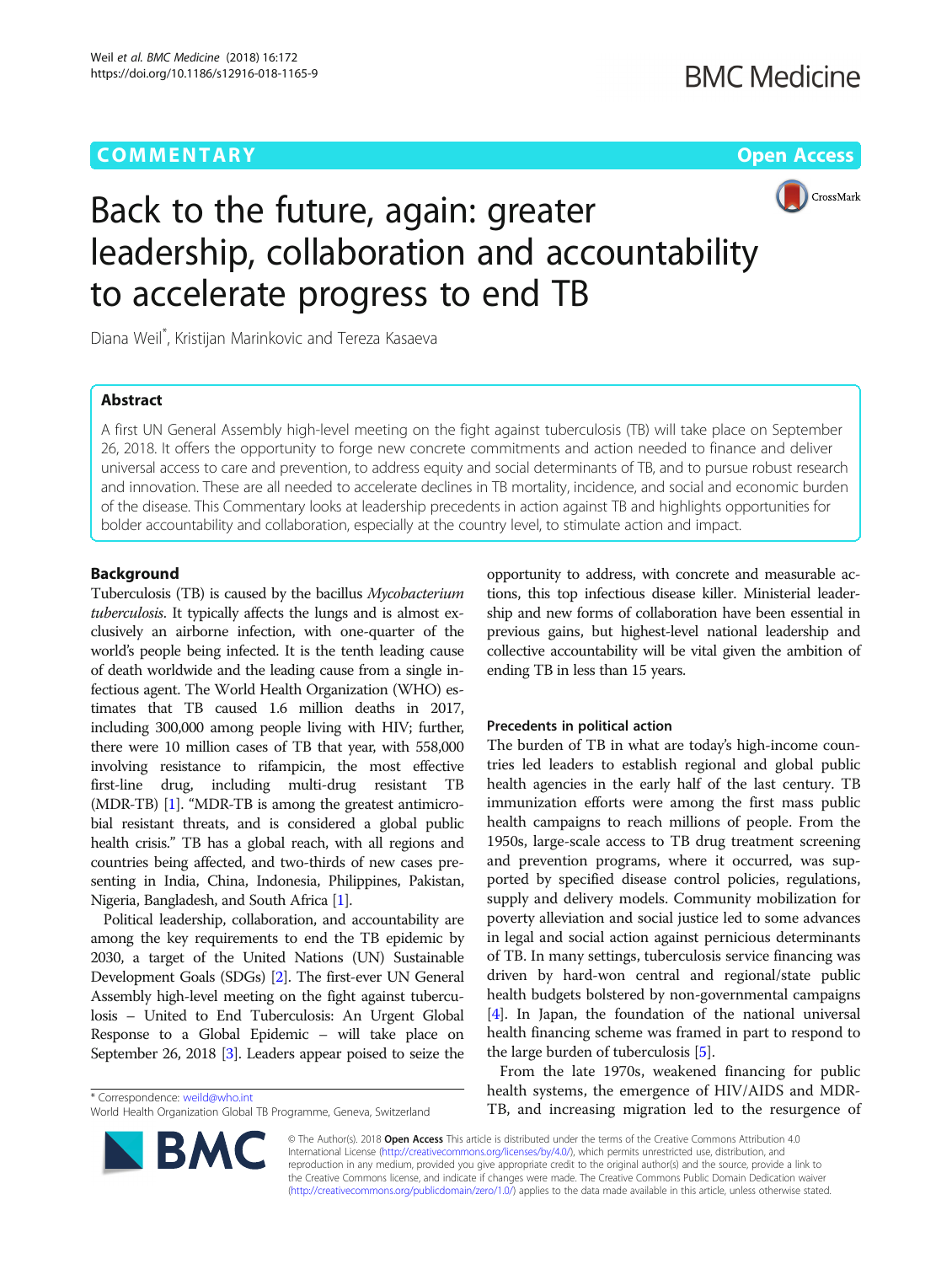# **COMMENTARY COMMENTARY COMMENTARY**



# Back to the future, again: greater leadership, collaboration and accountability to accelerate progress to end TB

Diana Weil\* , Kristijan Marinkovic and Tereza Kasaeva

# Abstract

A first UN General Assembly high-level meeting on the fight against tuberculosis (TB) will take place on September 26, 2018. It offers the opportunity to forge new concrete commitments and action needed to finance and deliver universal access to care and prevention, to address equity and social determinants of TB, and to pursue robust research and innovation. These are all needed to accelerate declines in TB mortality, incidence, and social and economic burden of the disease. This Commentary looks at leadership precedents in action against TB and highlights opportunities for bolder accountability and collaboration, especially at the country level, to stimulate action and impact.

# Background

Tuberculosis (TB) is caused by the bacillus Mycobacterium tuberculosis. It typically affects the lungs and is almost exclusively an airborne infection, with one-quarter of the world's people being infected. It is the tenth leading cause of death worldwide and the leading cause from a single infectious agent. The World Health Organization (WHO) estimates that TB caused 1.6 million deaths in 2017, including 300,000 among people living with HIV; further, there were 10 million cases of TB that year, with 558,000 involving resistance to rifampicin, the most effective first-line drug, including multi-drug resistant TB (MDR-TB) [\[1](#page-2-0)]. "MDR-TB is among the greatest antimicrobial resistant threats, and is considered a global public health crisis." TB has a global reach, with all regions and countries being affected, and two-thirds of new cases presenting in India, China, Indonesia, Philippines, Pakistan, Nigeria, Bangladesh, and South Africa [[1\]](#page-2-0).

Political leadership, collaboration, and accountability are among the key requirements to end the TB epidemic by 2030, a target of the United Nations (UN) Sustainable Development Goals (SDGs) [[2](#page-2-0)]. The first-ever UN General Assembly high-level meeting on the fight against tuberculosis – United to End Tuberculosis: An Urgent Global Response to a Global Epidemic – will take place on September 26, 2018 [\[3](#page-2-0)]. Leaders appear poised to seize the

**BM** 

opportunity to address, with concrete and measurable actions, this top infectious disease killer. Ministerial leadership and new forms of collaboration have been essential in previous gains, but highest-level national leadership and collective accountability will be vital given the ambition of ending TB in less than 15 years.

### Precedents in political action

The burden of TB in what are today's high-income countries led leaders to establish regional and global public health agencies in the early half of the last century. TB immunization efforts were among the first mass public health campaigns to reach millions of people. From the 1950s, large-scale access to TB drug treatment screening and prevention programs, where it occurred, was supported by specified disease control policies, regulations, supply and delivery models. Community mobilization for poverty alleviation and social justice led to some advances in legal and social action against pernicious determinants of TB. In many settings, tuberculosis service financing was driven by hard-won central and regional/state public health budgets bolstered by non-governmental campaigns [[4\]](#page-2-0). In Japan, the foundation of the national universal health financing scheme was framed in part to respond to the large burden of tuberculosis [\[5](#page-2-0)].

From the late 1970s, weakened financing for public health systems, the emergence of HIV/AIDS and MDR-The rearch systems, the emergence of integration and triput-<br>TB, and increasing migration led to the resurgence of \* TB wild increasing migration led to the resurgence of

> © The Author(s). 2018 Open Access This article is distributed under the terms of the Creative Commons Attribution 4.0 International License [\(http://creativecommons.org/licenses/by/4.0/](http://creativecommons.org/licenses/by/4.0/)), which permits unrestricted use, distribution, and reproduction in any medium, provided you give appropriate credit to the original author(s) and the source, provide a link to the Creative Commons license, and indicate if changes were made. The Creative Commons Public Domain Dedication waiver [\(http://creativecommons.org/publicdomain/zero/1.0/](http://creativecommons.org/publicdomain/zero/1.0/)) applies to the data made available in this article, unless otherwise stated.

World Health Organization Global TB Programme, Geneva, Switzerland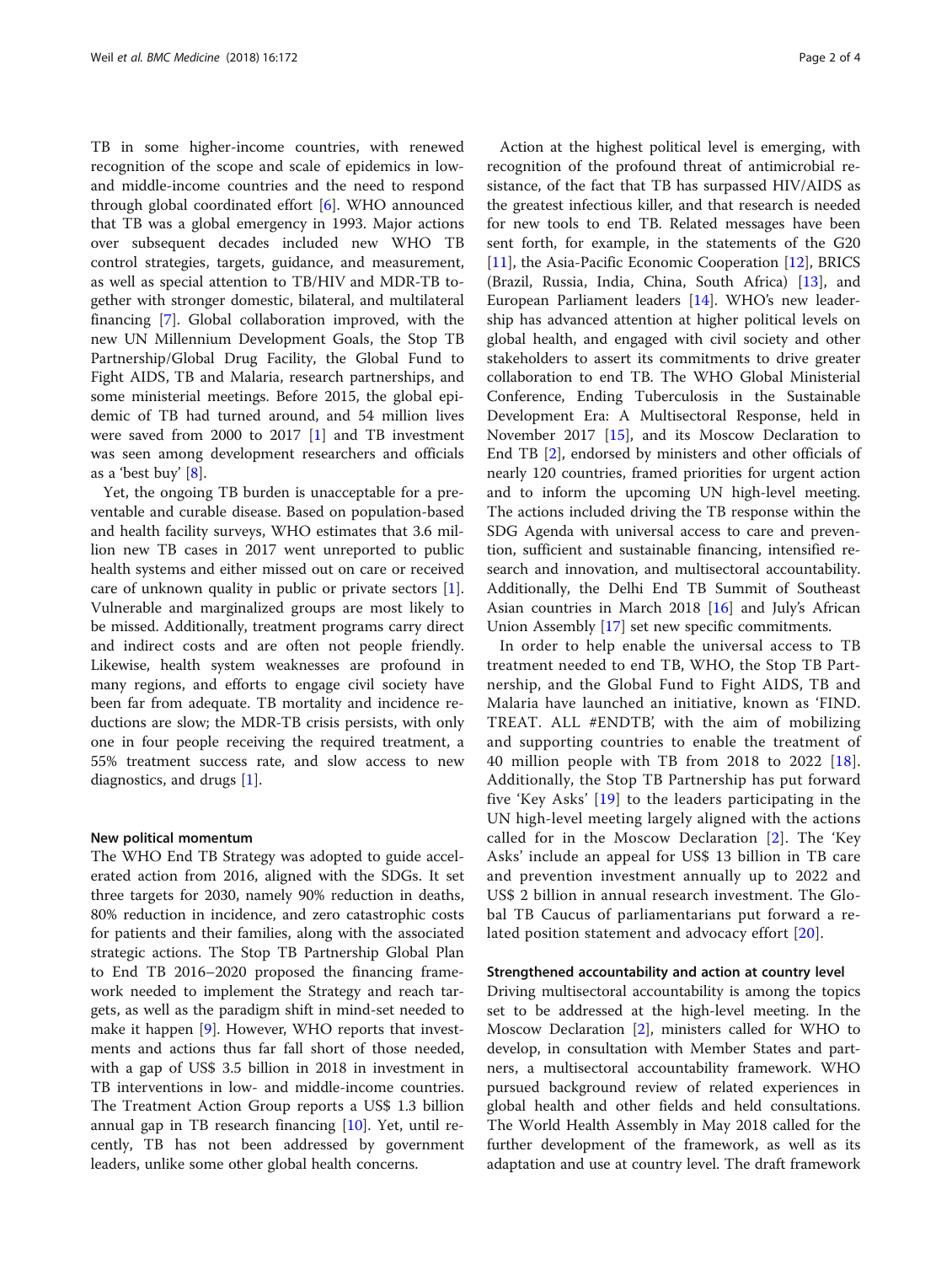TB in some higher-income countries, with renewed recognition of the scope and scale of epidemics in lowand middle-income countries and the need to respond through global coordinated effort [[6](#page-2-0)]. WHO announced that TB was a global emergency in 1993. Major actions over subsequent decades included new WHO TB control strategies, targets, guidance, and measurement, as well as special attention to TB/HIV and MDR-TB together with stronger domestic, bilateral, and multilateral financing [[7\]](#page-2-0). Global collaboration improved, with the new UN Millennium Development Goals, the Stop TB Partnership/Global Drug Facility, the Global Fund to Fight AIDS, TB and Malaria, research partnerships, and some ministerial meetings. Before 2015, the global epidemic of TB had turned around, and 54 million lives were saved from 2000 to 2017 [\[1](#page-2-0)] and TB investment was seen among development researchers and officials as a 'best buy' [\[8](#page-2-0)].

Yet, the ongoing TB burden is unacceptable for a preventable and curable disease. Based on population-based and health facility surveys, WHO estimates that 3.6 million new TB cases in 2017 went unreported to public health systems and either missed out on care or received care of unknown quality in public or private sectors [\[1](#page-2-0)]. Vulnerable and marginalized groups are most likely to be missed. Additionally, treatment programs carry direct and indirect costs and are often not people friendly. Likewise, health system weaknesses are profound in many regions, and efforts to engage civil society have been far from adequate. TB mortality and incidence reductions are slow; the MDR-TB crisis persists, with only one in four people receiving the required treatment, a 55% treatment success rate, and slow access to new diagnostics, and drugs [[1\]](#page-2-0).

#### New political momentum

The WHO End TB Strategy was adopted to guide accelerated action from 2016, aligned with the SDGs. It set three targets for 2030, namely 90% reduction in deaths, 80% reduction in incidence, and zero catastrophic costs for patients and their families, along with the associated strategic actions. The Stop TB Partnership Global Plan to End TB 2016–2020 proposed the financing framework needed to implement the Strategy and reach targets, as well as the paradigm shift in mind-set needed to make it happen [[9\]](#page-2-0). However, WHO reports that investments and actions thus far fall short of those needed, with a gap of US\$ 3.5 billion in 2018 in investment in TB interventions in low- and middle-income countries. The Treatment Action Group reports a US\$ 1.3 billion annual gap in TB research financing [\[10\]](#page-2-0). Yet, until recently, TB has not been addressed by government leaders, unlike some other global health concerns.

Action at the highest political level is emerging, with recognition of the profound threat of antimicrobial resistance, of the fact that TB has surpassed HIV/AIDS as the greatest infectious killer, and that research is needed for new tools to end TB. Related messages have been sent forth, for example, in the statements of the G20 [[11\]](#page-2-0), the Asia-Pacific Economic Cooperation [[12](#page-2-0)], BRICS (Brazil, Russia, India, China, South Africa) [\[13](#page-2-0)], and European Parliament leaders [\[14\]](#page-2-0). WHO's new leadership has advanced attention at higher political levels on global health, and engaged with civil society and other stakeholders to assert its commitments to drive greater collaboration to end TB. The WHO Global Ministerial Conference, Ending Tuberculosis in the Sustainable Development Era: A Multisectoral Response, held in November 2017 [\[15](#page-2-0)], and its Moscow Declaration to End TB [[2](#page-2-0)], endorsed by ministers and other officials of nearly 120 countries, framed priorities for urgent action and to inform the upcoming UN high-level meeting. The actions included driving the TB response within the SDG Agenda with universal access to care and prevention, sufficient and sustainable financing, intensified research and innovation, and multisectoral accountability. Additionally, the Delhi End TB Summit of Southeast Asian countries in March 2018 [\[16\]](#page-2-0) and July's African Union Assembly [[17\]](#page-2-0) set new specific commitments.

In order to help enable the universal access to TB treatment needed to end TB, WHO, the Stop TB Partnership, and the Global Fund to Fight AIDS, TB and Malaria have launched an initiative, known as 'FIND. TREAT. ALL #ENDTB', with the aim of mobilizing and supporting countries to enable the treatment of 40 million people with TB from 20[18](#page-2-0) to 2022  $[18]$ . Additionally, the Stop TB Partnership has put forward five 'Key Asks' [[19](#page-2-0)] to the leaders participating in the UN high-level meeting largely aligned with the actions called for in the Moscow Declaration [[2\]](#page-2-0). The 'Key Asks' include an appeal for US\$ 13 billion in TB care and prevention investment annually up to 2022 and US\$ 2 billion in annual research investment. The Global TB Caucus of parliamentarians put forward a related position statement and advocacy effort [[20](#page-2-0)].

#### Strengthened accountability and action at country level

Driving multisectoral accountability is among the topics set to be addressed at the high-level meeting. In the Moscow Declaration [[2\]](#page-2-0), ministers called for WHO to develop, in consultation with Member States and partners, a multisectoral accountability framework. WHO pursued background review of related experiences in global health and other fields and held consultations. The World Health Assembly in May 2018 called for the further development of the framework, as well as its adaptation and use at country level. The draft framework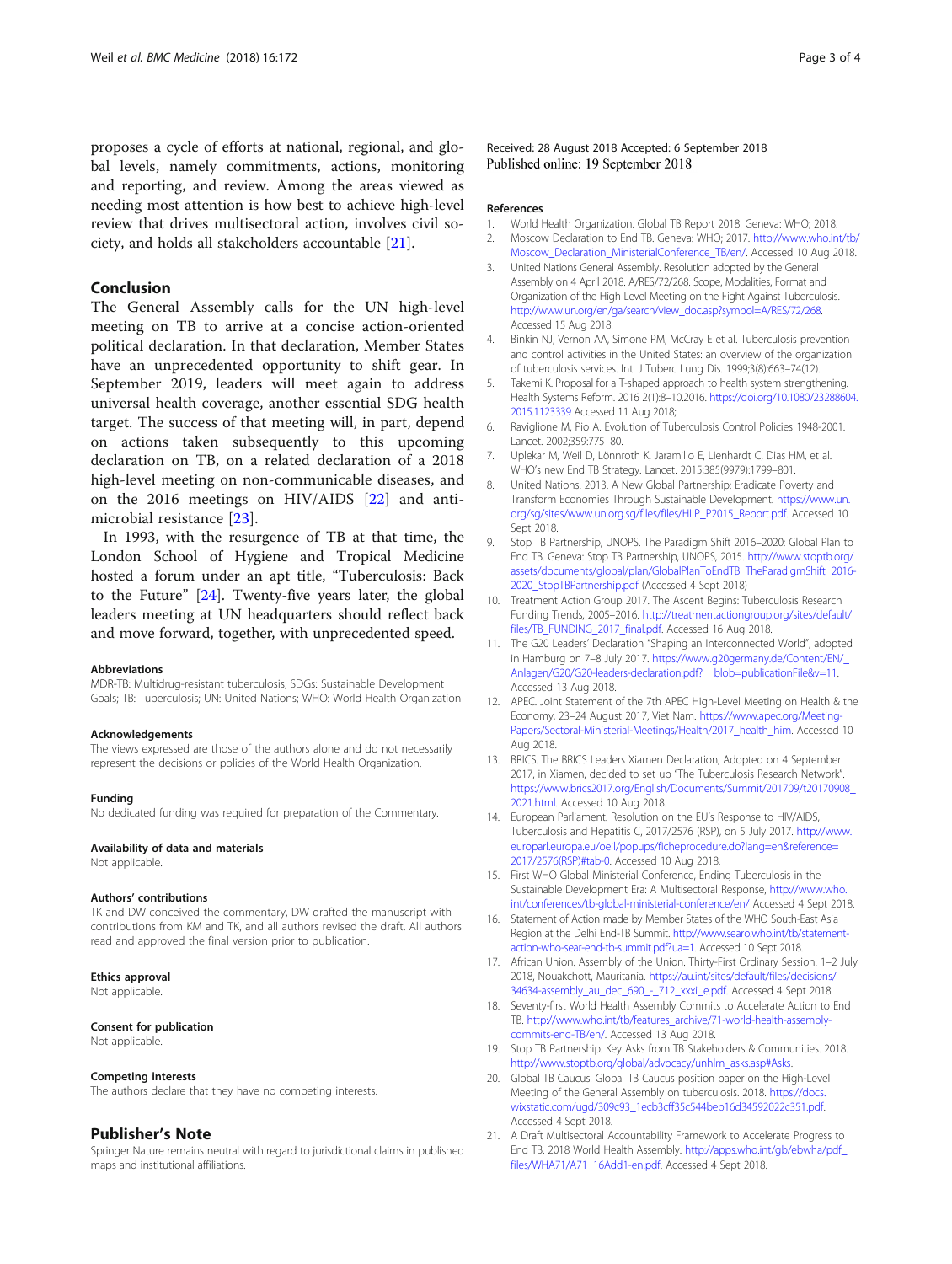<span id="page-2-0"></span>proposes a cycle of efforts at national, regional, and global levels, namely commitments, actions, monitoring and reporting, and review. Among the areas viewed as needing most attention is how best to achieve high-level review that drives multisectoral action, involves civil society, and holds all stakeholders accountable [21].

# Conclusion

The General Assembly calls for the UN high-level meeting on TB to arrive at a concise action-oriented political declaration. In that declaration, Member States have an unprecedented opportunity to shift gear. In September 2019, leaders will meet again to address universal health coverage, another essential SDG health target. The success of that meeting will, in part, depend on actions taken subsequently to this upcoming declaration on TB, on a related declaration of a 2018 high-level meeting on non-communicable diseases, and on the 2016 meetings on HIV/AIDS [[22\]](#page-3-0) and antimicrobial resistance [[23](#page-3-0)].

In 1993, with the resurgence of TB at that time, the London School of Hygiene and Tropical Medicine hosted a forum under an apt title, "Tuberculosis: Back to the Future" [[24](#page-3-0)]. Twenty-five years later, the global leaders meeting at UN headquarters should reflect back and move forward, together, with unprecedented speed.

#### Abbreviations

MDR-TB: Multidrug-resistant tuberculosis; SDGs: Sustainable Development Goals; TB: Tuberculosis; UN: United Nations; WHO: World Health Organization

#### Acknowledgements

The views expressed are those of the authors alone and do not necessarily represent the decisions or policies of the World Health Organization.

#### Funding

No dedicated funding was required for preparation of the Commentary.

## Availability of data and materials

Not applicable.

#### Authors' contributions

TK and DW conceived the commentary, DW drafted the manuscript with contributions from KM and TK, and all authors revised the draft. All authors read and approved the final version prior to publication.

#### Ethics approval

Not applicable.

#### Consent for publication

Not applicable.

#### Competing interests

The authors declare that they have no competing interests.

#### Publisher's Note

Springer Nature remains neutral with regard to jurisdictional claims in published maps and institutional affiliations.

Received: 28 August 2018 Accepted: 6 September 2018 Published online: 19 September 2018

#### References

- 1. World Health Organization. Global TB Report 2018. Geneva: WHO; 2018. 2. Moscow Declaration to End TB. Geneva: WHO; 2017. [http://www.who.int/tb/](http://www.who.int/tb/Moscow_Declaration_MinisterialConference_TB/en)
- [Moscow\\_Declaration\\_MinisterialConference\\_TB/en/.](http://www.who.int/tb/Moscow_Declaration_MinisterialConference_TB/en) Accessed 10 Aug 2018.
- 3. United Nations General Assembly. Resolution adopted by the General Assembly on 4 April 2018. A/RES/72/268. Scope, Modalities, Format and Organization of the High Level Meeting on the Fight Against Tuberculosis. [http://www.un.org/en/ga/search/view\\_doc.asp?symbol=A/RES/72/268.](http://www.un.org/en/ga/search/view_doc.asp?symbol=A/RES/72/268) Accessed 15 Aug 2018.
- 4. Binkin NJ, Vernon AA, Simone PM, McCray E et al. Tuberculosis prevention and control activities in the United States: an overview of the organization of tuberculosis services. Int. J Tuberc Lung Dis. 1999;3(8):663–74(12).
- 5. Takemi K. Proposal for a T-shaped approach to health system strengthening. Health Systems Reform. 2016 2(1):8–10.2016. [https://doi.org/10.1080/23288604.](https://doi.org/10.1080/23288604.2015.1123339) [2015.1123339](https://doi.org/10.1080/23288604.2015.1123339) Accessed 11 Aug 2018;
- 6. Raviglione M, Pio A. Evolution of Tuberculosis Control Policies 1948-2001. Lancet. 2002;359:775–80.
- 7. Uplekar M, Weil D, Lönnroth K, Jaramillo E, Lienhardt C, Dias HM, et al. WHO's new End TB Strategy. Lancet. 2015;385(9979):1799–801.
- 8. United Nations. 2013. A New Global Partnership: Eradicate Poverty and Transform Economies Through Sustainable Development. [https://www.un.](https://www.un.org/sg/sites/www.un.org.sg/files/files/HLP_P2015_Report.pdf) [org/sg/sites/www.un.org.sg/files/files/HLP\\_P2015\\_Report.pdf](https://www.un.org/sg/sites/www.un.org.sg/files/files/HLP_P2015_Report.pdf). Accessed 10 Sept 2018.
- 9. Stop TB Partnership, UNOPS. The Paradigm Shift 2016–2020: Global Plan to End TB. Geneva: Stop TB Partnership, UNOPS, 2015. [http://www.stoptb.org/](http://www.stoptb.org/assets/documents/global/plan/GlobalPlanToEndTB_TheParadigmShift_2016-2020_StopTBPartnership.pdf) [assets/documents/global/plan/GlobalPlanToEndTB\\_TheParadigmShift\\_2016-](http://www.stoptb.org/assets/documents/global/plan/GlobalPlanToEndTB_TheParadigmShift_2016-2020_StopTBPartnership.pdf) [2020\\_StopTBPartnership.pdf](http://www.stoptb.org/assets/documents/global/plan/GlobalPlanToEndTB_TheParadigmShift_2016-2020_StopTBPartnership.pdf) (Accessed 4 Sept 2018)
- 10. Treatment Action Group 2017. The Ascent Begins: Tuberculosis Research Funding Trends, 2005–2016. [http://treatmentactiongroup.org/sites/default/](http://treatmentactiongroup.org/sites/default/files/TB_FUNDING_2017_final.pdf) [files/TB\\_FUNDING\\_2017\\_final.pdf.](http://treatmentactiongroup.org/sites/default/files/TB_FUNDING_2017_final.pdf) Accessed 16 Aug 2018.
- 11. The G20 Leaders' Declaration "Shaping an Interconnected World", adopted in Hamburg on 7–8 July 2017. [https://www.g20germany.de/Content/EN/\\_](https://www.g20germany.de/Content/EN/_Anlagen/G20/G20-leaders-declaration.pdf?__blob=publicationFile&v=11) [Anlagen/G20/G20-leaders-declaration.pdf?\\_\\_blob=publicationFile&v=11.](https://www.g20germany.de/Content/EN/_Anlagen/G20/G20-leaders-declaration.pdf?__blob=publicationFile&v=11) Accessed 13 Aug 2018.
- 12. APEC. Joint Statement of the 7th APEC High-Level Meeting on Health & the Economy, 23–24 August 2017, Viet Nam. [https://www.apec.org/Meeting-](https://www.apec.org/Meeting-Papers/Sectoral-Ministerial-Meetings/Health/2017_health_him)[Papers/Sectoral-Ministerial-Meetings/Health/2017\\_health\\_him](https://www.apec.org/Meeting-Papers/Sectoral-Ministerial-Meetings/Health/2017_health_him). Accessed 10 Aug 2018.
- 13. BRICS. The BRICS Leaders Xiamen Declaration, Adopted on 4 September 2017, in Xiamen, decided to set up "The Tuberculosis Research Network". [https://www.brics2017.org/English/Documents/Summit/201709/t20170908\\_](https://www.brics2017.org/English/Documents/Summit/201709/t20170908_2021.html) [2021.html.](https://www.brics2017.org/English/Documents/Summit/201709/t20170908_2021.html) Accessed 10 Aug 2018.
- 14. European Parliament. Resolution on the EU's Response to HIV/AIDS, Tuberculosis and Hepatitis C, 2017/2576 (RSP), on 5 July 2017. [http://www.](http://www.europarl.europa.eu/oeil/popups/ficheprocedure.do?lang=en&reference=2017/2576(RSP)#tab-0) [europarl.europa.eu/oeil/popups/ficheprocedure.do?lang=en&reference=](http://www.europarl.europa.eu/oeil/popups/ficheprocedure.do?lang=en&reference=2017/2576(RSP)#tab-0) [2017/2576\(RSP\)#tab-0.](http://www.europarl.europa.eu/oeil/popups/ficheprocedure.do?lang=en&reference=2017/2576(RSP)#tab-0) Accessed 10 Aug 2018.
- 15. First WHO Global Ministerial Conference, Ending Tuberculosis in the Sustainable Development Era: A Multisectoral Response, [http://www.who.](http://www.who.int/conferences/tb-global-ministerial-conference/en/) [int/conferences/tb-global-ministerial-conference/en/](http://www.who.int/conferences/tb-global-ministerial-conference/en/) Accessed 4 Sept 2018.
- 16. Statement of Action made by Member States of the WHO South-East Asia Region at the Delhi End-TB Summit. [http://www.searo.who.int/tb/statement](http://www.searo.who.int/tb/statement-action-who-sear-end-tb-summit.pdf?ua=1)[action-who-sear-end-tb-summit.pdf?ua=1.](http://www.searo.who.int/tb/statement-action-who-sear-end-tb-summit.pdf?ua=1) Accessed 10 Sept 2018.
- 17. African Union. Assembly of the Union. Thirty-First Ordinary Session. 1–2 July 2018, Nouakchott, Mauritania. [https://au.int/sites/default/files/decisions/](https://au.int/sites/default/files/decisions/34634-assembly_au_dec_690_-_712_xxxi_e.pdf) [34634-assembly\\_au\\_dec\\_690\\_-\\_712\\_xxxi\\_e.pdf](https://au.int/sites/default/files/decisions/34634-assembly_au_dec_690_-_712_xxxi_e.pdf). Accessed 4 Sept 2018
- 18. Seventy-first World Health Assembly Commits to Accelerate Action to End TB. [http://www.who.int/tb/features\\_archive/71-world-health-assembly](http://www.who.int/tb/features_archive/71-world-health-assembly-commits-end-TB/en)[commits-end-TB/en/.](http://www.who.int/tb/features_archive/71-world-health-assembly-commits-end-TB/en) Accessed 13 Aug 2018.
- 19. Stop TB Partnership. Key Asks from TB Stakeholders & Communities. 2018. [http://www.stoptb.org/global/advocacy/unhlm\\_asks.asp#Asks](http://www.stoptb.org/global/advocacy/unhlm_asks.asp#Asks).
- 20. Global TB Caucus. Global TB Caucus position paper on the High-Level Meeting of the General Assembly on tuberculosis. 2018. [https://docs.](https://docs.wixstatic.com/ugd/309c93_1ecb3cff35c544beb16d34592022c351.pdf) [wixstatic.com/ugd/309c93\\_1ecb3cff35c544beb16d34592022c351.pdf](https://docs.wixstatic.com/ugd/309c93_1ecb3cff35c544beb16d34592022c351.pdf). Accessed 4 Sept 2018.
- 21. A Draft Multisectoral Accountability Framework to Accelerate Progress to End TB. 2018 World Health Assembly. [http://apps.who.int/gb/ebwha/pdf\\_](http://apps.who.int/gb/ebwha/pdf_files/WHA71/A71_16Add1-en.pdf) [files/WHA71/A71\\_16Add1-en.pdf](http://apps.who.int/gb/ebwha/pdf_files/WHA71/A71_16Add1-en.pdf). Accessed 4 Sept 2018.